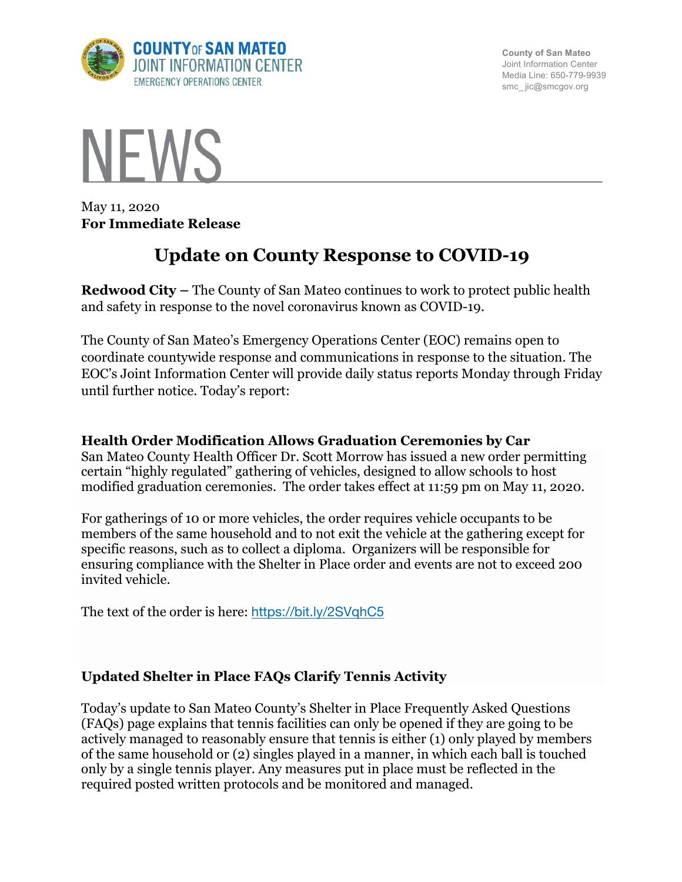

**County of San Mateo** Joint Information Center Media Line: 650-779-9939 smc\_ jic@smcgov.org



May 11, 2020 **For Immediate Release**

# **Update on County Response to COVID-19**

**Redwood City –** The County of San Mateo continues to work to protect public health and safety in response to the novel coronavirus known as COVID-19.

The County of San Mateo's Emergency Operations Center (EOC) remains open to coordinate countywide response and communications in response to the situation. The EOC's Joint Information Center will provide daily status reports Monday through Friday until further notice. Today's report:

### **Health Order Modification Allows Graduation Ceremonies by Car**

San Mateo County Health Officer Dr. Scott Morrow has issued a new order permitting certain "highly regulated" gathering of vehicles, designed to allow schools to host modified graduation ceremonies. The order takes effect at 11:59 pm on May 11, 2020.

For gatherings of 10 or more vehicles, the order requires vehicle occupants to be members of the same household and to not exit the vehicle at the gathering except for specific reasons, such as to collect a diploma. Organizers will be responsible for ensuring compliance with the Shelter in Place order and events are not to exceed 200 invited vehicle.

The text of the order is here: https://bit.ly/2SVqhC5

# **Updated Shelter in Place FAQs Clarify Tennis Activity**

Today's update to San Mateo County's Shelter in Place Frequently Asked Questions (FAQs) page explains that tennis facilities can only be opened if they are going to be actively managed to reasonably ensure that tennis is either (1) only played by members of the same household or (2) singles played in a manner, in which each ball is touched only by a single tennis player. Any measures put in place must be reflected in the required posted written protocols and be monitored and managed.